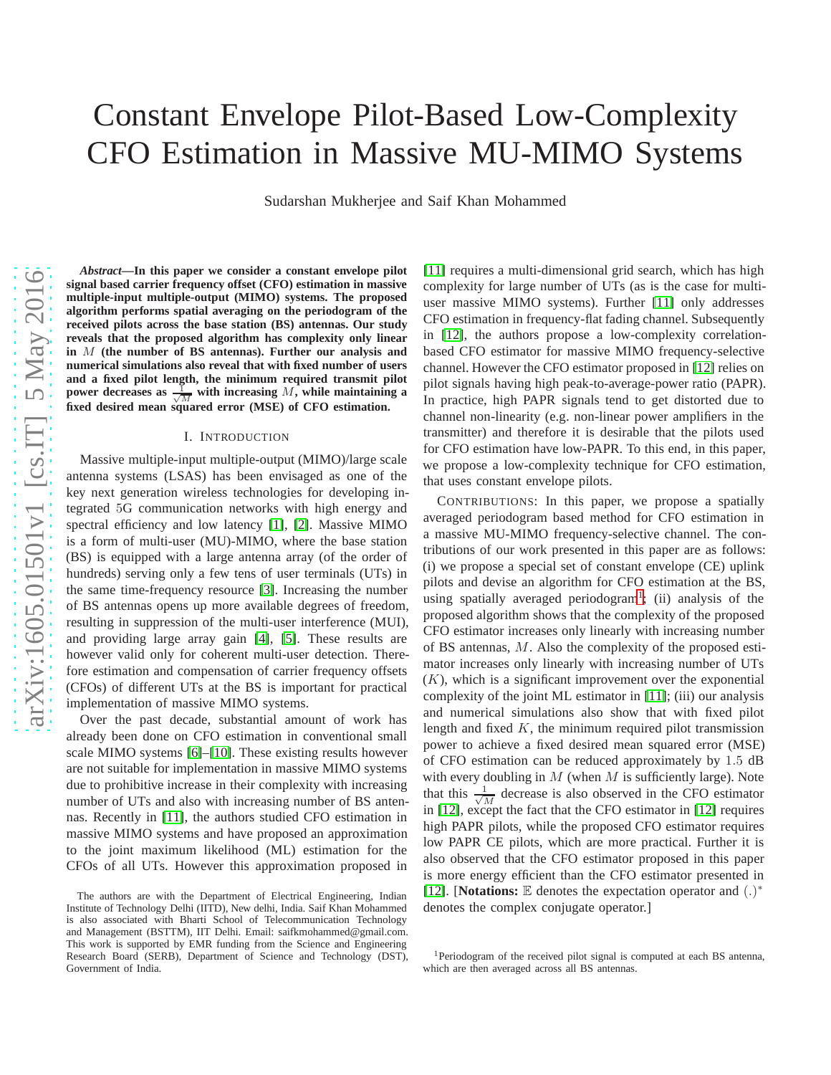# Constant Envelope Pilot-Based Low-Complexity CFO Estimation in Massive MU-MIMO Systems

Sudarshan Mukherjee and Saif Khan Mohammed

*Abstract***—In this paper we consider a constant envelope pilot signal based carrier frequency offset (CFO) estimation in massive multiple-input multiple-output (MIMO) systems. The proposed algorithm performs spatial averaging on the periodogram of the received pilots across the base station (BS) antennas. Our study reveals that the proposed algorithm has complexity only linear in** M **(the number of BS antennas). Further our analysis and numerical simulations also reveal that with fixed number of users and a fixed pilot length, the minimum required transmit pilot power decreases as**  $\frac{1}{\sqrt{M}}$  with increasing M, while maintaining a **fixed desired mean squared error (MSE) of CFO estimation.**

#### I. INTRODUCTION

Massive multiple-input multiple-output (MIMO)/large scale antenna systems (LSAS) has been envisaged as one of the key next generation wireless technologies for developing integrated 5G communication networks with high energy and spectral efficiency and low latency [\[1\]](#page-4-0), [\[2\]](#page-4-1). Massive MIMO is a form of multi-user (MU)-MIMO, where the base station (BS) is equipped with a large antenna array (of the order of hundreds) serving only a few tens of user terminals (UTs) in the same time-frequency resource [\[3\]](#page-4-2). Increasing the number of BS antennas opens up more available degrees of freedom, resulting in suppression of the multi-user interference (MUI), and providing large array gain [\[4\]](#page-4-3), [\[5\]](#page-4-4). These results are however valid only for coherent multi-user detection. Therefore estimation and compensation of carrier frequency offsets (CFOs) of different UTs at the BS is important for practical implementation of massive MIMO systems.

Over the past decade, substantial amount of work has already been done on CFO estimation in conventional small scale MIMO systems [\[6\]](#page-4-5)–[\[10\]](#page-4-6). These existing results however are not suitable for implementation in massive MIMO systems due to prohibitive increase in their complexity with increasing number of UTs and also with increasing number of BS antennas. Recently in [\[11\]](#page-4-7), the authors studied CFO estimation in massive MIMO systems and have proposed an approximation to the joint maximum likelihood (ML) estimation for the CFOs of all UTs. However this approximation proposed in

[\[11\]](#page-4-7) requires a multi-dimensional grid search, which has high complexity for large number of UTs (as is the case for multiuser massive MIMO systems). Further [\[11\]](#page-4-7) only addresses CFO estimation in frequency-flat fading channel. Subsequently in [\[12\]](#page-4-8), the authors propose a low-complexity correlationbased CFO estimator for massive MIMO frequency-selective channel. However the CFO estimator proposed in [\[12\]](#page-4-8) relies on pilot signals having high peak-to-average-power ratio (PAPR). In practice, high PAPR signals tend to get distorted due to channel non-linearity (e.g. non-linear power amplifiers in the transmitter) and therefore it is desirable that the pilots used for CFO estimation have low-PAPR. To this end, in this paper, we propose a low-complexity technique for CFO estimation, that uses constant envelope pilots.

CONTRIBUTIONS: In this paper, we propose a spatially averaged periodogram based method for CFO estimation in a massive MU-MIMO frequency-selective channel. The contributions of our work presented in this paper are as follows: (i) we propose a special set of constant envelope (CE) uplink pilots and devise an algorithm for CFO estimation at the BS, using spatially averaged periodogram<sup>[1](#page-0-0)</sup>; (ii) analysis of the proposed algorithm shows that the complexity of the proposed CFO estimator increases only linearly with increasing number of BS antennas, M. Also the complexity of the proposed estimator increases only linearly with increasing number of UTs  $(K)$ , which is a significant improvement over the exponential complexity of the joint ML estimator in [\[11\]](#page-4-7); (iii) our analysis and numerical simulations also show that with fixed pilot length and fixed  $K$ , the minimum required pilot transmission power to achieve a fixed desired mean squared error (MSE) of CFO estimation can be reduced approximately by 1.5 dB with every doubling in  $M$  (when  $M$  is sufficiently large). Note that this  $\frac{1}{\sqrt{7}}$  $\frac{1}{M}$  decrease is also observed in the CFO estimator in [\[12\]](#page-4-8), except the fact that the CFO estimator in [\[12\]](#page-4-8) requires high PAPR pilots, while the proposed CFO estimator requires low PAPR CE pilots, which are more practical. Further it is also observed that the CFO estimator proposed in this paper is more energy efficient than the CFO estimator presented in [\[12\]](#page-4-8). [**Notations: E** denotes the expectation operator and (.)<sup>\*</sup> denotes the complex conjugate operator.]

The authors are with the Department of Electrical Engineering, Indian Institute of Technology Delhi (IITD), New delhi, India. Saif Khan Mohammed is also associated with Bharti School of Telecommunication Technology and Management (BSTTM), IIT Delhi. Email: saifkmohammed@gmail.com. This work is supported by EMR funding from the Science and Engineering Research Board (SERB), Department of Science and Technology (DST), Government of India.

<span id="page-0-0"></span><sup>&</sup>lt;sup>1</sup>Periodogram of the received pilot signal is computed at each BS antenna, which are then averaged across all BS antennas.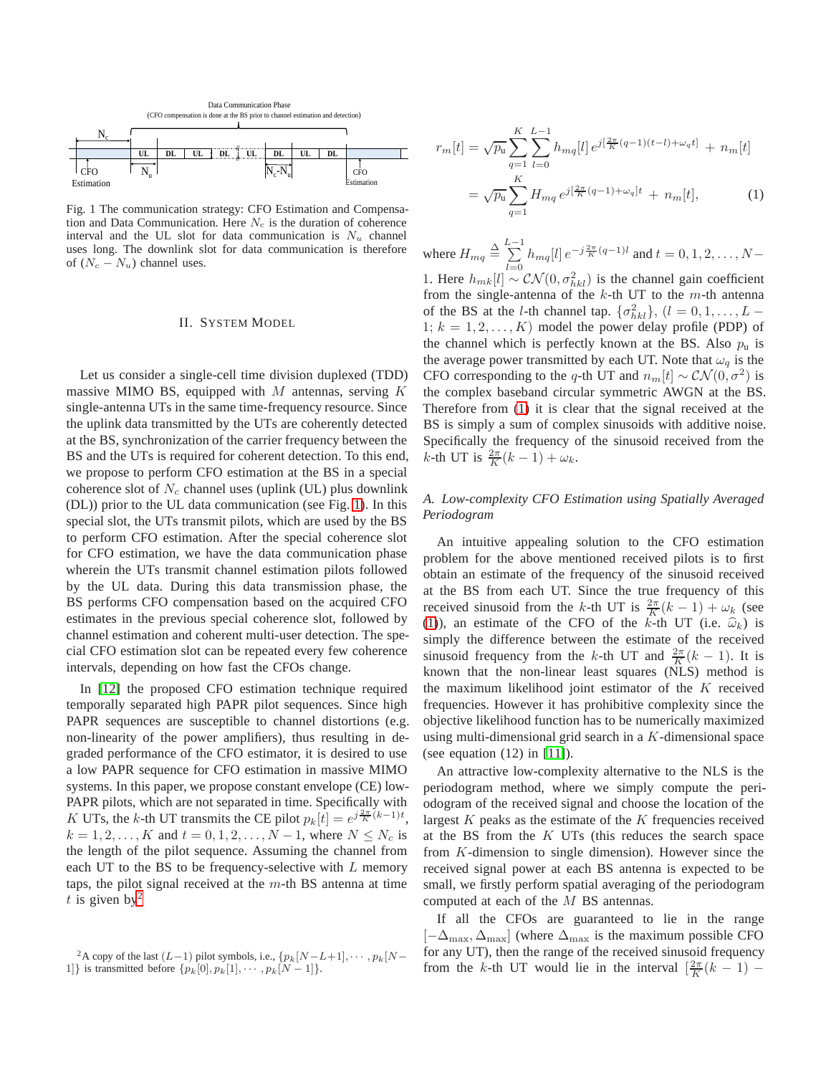<span id="page-1-0"></span>

Fig. 1 The communication strategy: CFO Estimation and Compensation and Data Communication. Here  $N_c$  is the duration of coherence interval and the UL slot for data communication is  $N_u$  channel uses long. The downlink slot for data communication is therefore of  $(N_c - N_u)$  channel uses.

## II. SYSTEM MODEL

Let us consider a single-cell time division duplexed (TDD) massive MIMO BS, equipped with  $M$  antennas, serving  $K$ single-antenna UTs in the same time-frequency resource. Since the uplink data transmitted by the UTs are coherently detected at the BS, synchronization of the carrier frequency between the BS and the UTs is required for coherent detection. To this end, we propose to perform CFO estimation at the BS in a special coherence slot of  $N_c$  channel uses (uplink (UL) plus downlink (DL)) prior to the UL data communication (see Fig. [1\)](#page-1-0). In this special slot, the UTs transmit pilots, which are used by the BS to perform CFO estimation. After the special coherence slot for CFO estimation, we have the data communication phase wherein the UTs transmit channel estimation pilots followed by the UL data. During this data transmission phase, the BS performs CFO compensation based on the acquired CFO estimates in the previous special coherence slot, followed by channel estimation and coherent multi-user detection. The special CFO estimation slot can be repeated every few coherence intervals, depending on how fast the CFOs change.

In [\[12\]](#page-4-8) the proposed CFO estimation technique required temporally separated high PAPR pilot sequences. Since high PAPR sequences are susceptible to channel distortions (e.g. non-linearity of the power amplifiers), thus resulting in degraded performance of the CFO estimator, it is desired to use a low PAPR sequence for CFO estimation in massive MIMO systems. In this paper, we propose constant envelope (CE) low-PAPR pilots, which are not separated in time. Specifically with K UTs, the k-th UT transmits the CE pilot  $p_k[t] = e^{j\frac{2\pi}{K}(k-1)t}$ ,  $k = 1, 2, ..., K$  and  $t = 0, 1, 2, ..., N - 1$ , where  $N \le N_c$  is the length of the pilot sequence. Assuming the channel from each UT to the BS to be frequency-selective with  $L$  memory taps, the pilot signal received at the  $m$ -th BS antenna at time t is given by  $2^2$  $2^2$ 

<span id="page-1-2"></span>
$$
r_m[t] = \sqrt{p_u} \sum_{q=1}^{K} \sum_{l=0}^{L-1} h_{mq}[l] e^{j[\frac{2\pi}{K}(q-1)(t-l) + \omega_q t]} + n_m[t]
$$

$$
= \sqrt{p_u} \sum_{q=1}^{K} H_{mq} e^{j[\frac{2\pi}{K}(q-1) + \omega_q]t} + n_m[t], \qquad (1)
$$

where  $H_{mq} \stackrel{\Delta}{=} \sum_{n=1}^{L-1} h_{mq}[l] e^{-j\frac{2\pi}{K}(q-1)l}$  and  $t = 0, 1, 2, ..., N-1$ 1. Here  $h_{mk}[l] \sim \mathcal{CN}(0, \sigma_{hkl}^2)$  is the channel gain coefficient from the single-antenna of the  $k$ -th UT to the  $m$ -th antenna of the BS at the *l*-th channel tap.  $\{\sigma_{hkl}^2\}$ ,  $(l = 0, 1, \ldots, L -$ 1;  $k = 1, 2, \ldots, K$ ) model the power delay profile (PDP) of the channel which is perfectly known at the BS. Also  $p_u$  is the average power transmitted by each UT. Note that  $\omega_q$  is the CFO corresponding to the q-th UT and  $n_m[t] \sim \mathcal{CN}(0, \sigma^2)$  is the complex baseband circular symmetric AWGN at the BS. Therefore from [\(1\)](#page-1-2) it is clear that the signal received at the BS is simply a sum of complex sinusoids with additive noise. Specifically the frequency of the sinusoid received from the *k*-th UT is  $\frac{2\pi}{K}(k-1) + \omega_k$ .

## *A. Low-complexity CFO Estimation using Spatially Averaged Periodogram*

An intuitive appealing solution to the CFO estimation problem for the above mentioned received pilots is to first obtain an estimate of the frequency of the sinusoid received at the BS from each UT. Since the true frequency of this received sinusoid from the k-th UT is  $\frac{2\pi}{K}(k-1) + \omega_k$  (see [\(1\)](#page-1-2)), an estimate of the CFO of the k-th UT (i.e.  $\hat{\omega}_k$ ) is simply the difference between the estimate of the received sinusoid frequency from the k-th UT and  $\frac{2\pi}{K}(k-1)$ . It is known that the non-linear least squares (NLS) method is the maximum likelihood joint estimator of the  $K$  received frequencies. However it has prohibitive complexity since the objective likelihood function has to be numerically maximized using multi-dimensional grid search in a K-dimensional space (see equation (12) in [\[11\]](#page-4-7)).

An attractive low-complexity alternative to the NLS is the periodogram method, where we simply compute the periodogram of the received signal and choose the location of the largest  $K$  peaks as the estimate of the  $K$  frequencies received at the BS from the  $K$  UTs (this reduces the search space from K-dimension to single dimension). However since the received signal power at each BS antenna is expected to be small, we firstly perform spatial averaging of the periodogram computed at each of the M BS antennas.

If all the CFOs are guaranteed to lie in the range  $[-\Delta_{\text{max}}, \Delta_{\text{max}}]$  (where  $\Delta_{\text{max}}$  is the maximum possible CFO for any UT), then the range of the received sinusoid frequency from the k-th UT would lie in the interval  $\left[\frac{2\pi}{K}(k-1)\right]$ 

<span id="page-1-1"></span><sup>&</sup>lt;sup>2</sup>A copy of the last  $(L-1)$  pilot symbols, i.e.,  $\{p_k[N-L+1], \cdots, p_k[N-\}$ 1]} is transmitted before  $\{p_k[0], p_k[1], \cdots, p_k[N-1]\}.$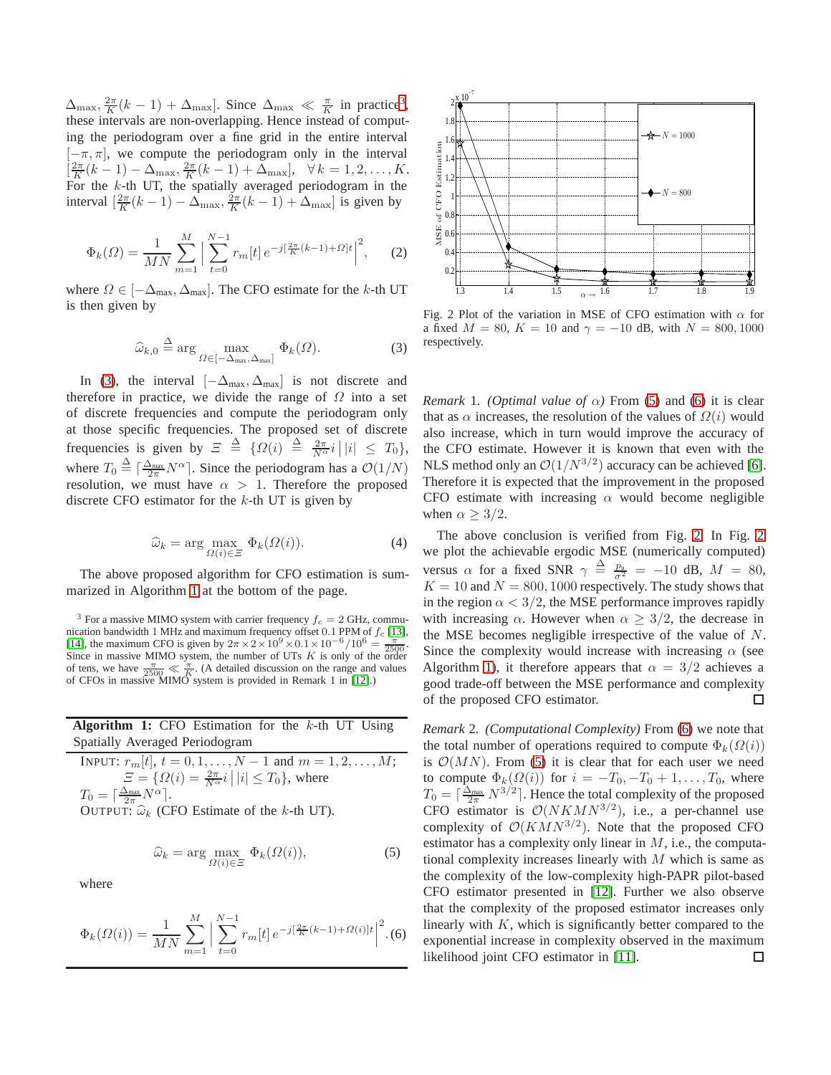$\Delta_{\text{max}}, \frac{2\pi}{K}(k-1) + \Delta_{\text{max}}$ . Since  $\Delta_{\text{max}} \ll \frac{\pi}{K}$  in practice<sup>[3](#page-2-0)</sup>, these intervals are non-overlapping. Hence instead of computing the periodogram over a fine grid in the entire interval  $[-\pi, \pi]$ , we compute the periodogram only in the interval  $\left[\frac{2\pi}{K}(k-1) - \Delta_{\text{max}}, \frac{2\pi}{K}(k-1) + \Delta_{\text{max}}\right], \ \ \forall \, k = 1, 2, \dots, K.$ For the  $k$ -th UT, the spatially averaged periodogram in the interval  $\left[\frac{2\pi}{K}(k-1) - \Delta_{\text{max}}, \frac{2\pi}{K}(k-1) + \Delta_{\text{max}}\right]$  is given by

$$
\Phi_k(\Omega) = \frac{1}{MN} \sum_{m=1}^M \left| \sum_{t=0}^{N-1} r_m[t] \, e^{-j\left[\frac{2\pi}{K}(k-1) + \Omega\right]t} \right|^2, \tag{2}
$$

where  $\Omega \in [-\Delta_{\text{max}}, \Delta_{\text{max}}]$ . The CFO estimate for the k-th UT is then given by

$$
\widehat{\omega}_{k,0} \stackrel{\Delta}{=} \arg\max_{\Omega \in [-\Delta_{\text{max}}, \Delta_{\text{max}}]} \Phi_k(\Omega). \tag{3}
$$

In [\(3\)](#page-2-1), the interval  $[-\Delta_{\text{max}}, \Delta_{\text{max}}]$  is not discrete and therefore in practice, we divide the range of  $\Omega$  into a set of discrete frequencies and compute the periodogram only at those specific frequencies. The proposed set of discrete frequencies is given by  $\Xi \triangleq {\Omega(i) \triangleq \frac{2\pi}{N^{\alpha}}i ||i| \leq T_0},$ where  $T_0 \triangleq \left[\frac{\Delta_{\text{max}}}{2\pi} N^{\alpha}\right]$ . Since the periodogram has a  $\mathcal{O}(1/N)$ resolution, we must have  $\alpha > 1$ . Therefore the proposed discrete CFO estimator for the  $k$ -th UT is given by

$$
\widehat{\omega}_k = \arg \max_{\Omega(i) \in \Xi} \Phi_k(\Omega(i)). \tag{4}
$$

The above proposed algorithm for CFO estimation is summarized in Algorithm [1](#page-2-2) at the bottom of the page.

<span id="page-2-0"></span><sup>3</sup> For a massive MIMO system with carrier frequency  $f_c = 2$  GHz, communication bandwidth 1 MHz and maximum frequency offset 0.1 PPM of  $f_c$  [\[13\]](#page-4-9), [\[14\]](#page-4-10), the maximum CFO is given by  $2\pi \times 2 \times 10^9 \times 0.1 \times 10^{-6} / 10^6 = \frac{\pi}{2500}$ .<br>Since in massive MIMO system, the number of UTs K is only of t of tens, we have  $\frac{\pi}{2500} \ll \frac{\pi}{K}$ . (A detailed discussion on the range and values of CFOs in massive MIMO system is provided in Remark 1 in [\[12\]](#page-4-8).)

**Algorithm 1:** CFO Estimation for the k-th UT Using Spatially Averaged Periodogram

<span id="page-2-2"></span>INPUT: 
$$
r_m[t]
$$
,  $t = 0, 1, ..., N - 1$  and  $m = 1, 2, ..., M$ ;  
\n
$$
\Xi = \{ \Omega(i) = \frac{2\pi}{N^{\alpha}} i \mid |i| \le T_0 \}, \text{ where}
$$
\n
$$
T_0 = \lceil \frac{\Delta_{\text{max}}}{2\pi} N^{\alpha} \rceil.
$$
\nOUTPUT:  $\hat{\omega}_k$  (CFO Estimate of the *k*-th UT).

$$
\widehat{\omega}_k = \arg \max_{\Omega(i) \in \Xi} \Phi_k(\Omega(i)),\tag{5}
$$

where

$$
\Phi_k(\Omega(i)) = \frac{1}{MN} \sum_{m=1}^M \Big| \sum_{t=0}^{N-1} r_m[t] \, e^{-j\left[\frac{2\pi}{K}(k-1) + \Omega(i)\right]t} \Big|^2. \tag{6}
$$

<span id="page-2-5"></span>

<span id="page-2-1"></span>Fig. 2 Plot of the variation in MSE of CFO estimation with  $\alpha$  for a fixed  $M = 80$ ,  $K = 10$  and  $\gamma = -10$  dB, with  $N = 800, 1000$ respectively.

*Remark* 1*. (Optimal value of*  $\alpha$ ) From [\(5\)](#page-2-3) and [\(6\)](#page-2-4) it is clear that as  $\alpha$  increases, the resolution of the values of  $\Omega(i)$  would also increase, which in turn would improve the accuracy of the CFO estimate. However it is known that even with the NLS method only an  $\mathcal{O}(1/N^{3/2})$  accuracy can be achieved [\[6\]](#page-4-5). Therefore it is expected that the improvement in the proposed CFO estimate with increasing  $\alpha$  would become negligible when  $\alpha \geq 3/2$ .

The above conclusion is verified from Fig. [2.](#page-2-5) In Fig. [2](#page-2-5) we plot the achievable ergodic MSE (numerically computed) versus  $\alpha$  for a fixed SNR  $\gamma \triangleq \frac{p_u}{\sigma^2} = -10$  dB,  $M = 80$ ,  $K = 10$  and  $N = 800, 1000$  respectively. The study shows that in the region  $\alpha < 3/2$ , the MSE performance improves rapidly with increasing  $\alpha$ . However when  $\alpha \geq 3/2$ , the decrease in the MSE becomes negligible irrespective of the value of N. Since the complexity would increase with increasing  $\alpha$  (see Algorithm [1\)](#page-2-2), it therefore appears that  $\alpha = 3/2$  achieves a good trade-off between the MSE performance and complexity of the proposed CFO estimator.  $\Box$ 

<span id="page-2-4"></span><span id="page-2-3"></span>*Remark* 2*. (Computational Complexity)* From [\(6\)](#page-2-4) we note that the total number of operations required to compute  $\Phi_k(\Omega(i))$ is  $\mathcal{O}(MN)$ . From [\(5\)](#page-2-3) it is clear that for each user we need to compute  $\Phi_k(\Omega(i))$  for  $i = -T_0, -T_0 + 1, \ldots, T_0$ , where  $T_0 = \left[\frac{\Delta_{\text{max}}}{2\pi} N^{3/2}\right]$ . Hence the total complexity of the proposed CFO estimator is  $\mathcal{O}(NKM)^{3/2}$ , i.e., a per-channel use complexity of  $\mathcal{O}(KMN^{3/2})$ . Note that the proposed CFO estimator has a complexity only linear in  $M$ , i.e., the computational complexity increases linearly with  $M$  which is same as the complexity of the low-complexity high-PAPR pilot-based CFO estimator presented in [\[12\]](#page-4-8). Further we also observe that the complexity of the proposed estimator increases only linearly with  $K$ , which is significantly better compared to the exponential increase in complexity observed in the maximum likelihood joint CFO estimator in [\[11\]](#page-4-7).□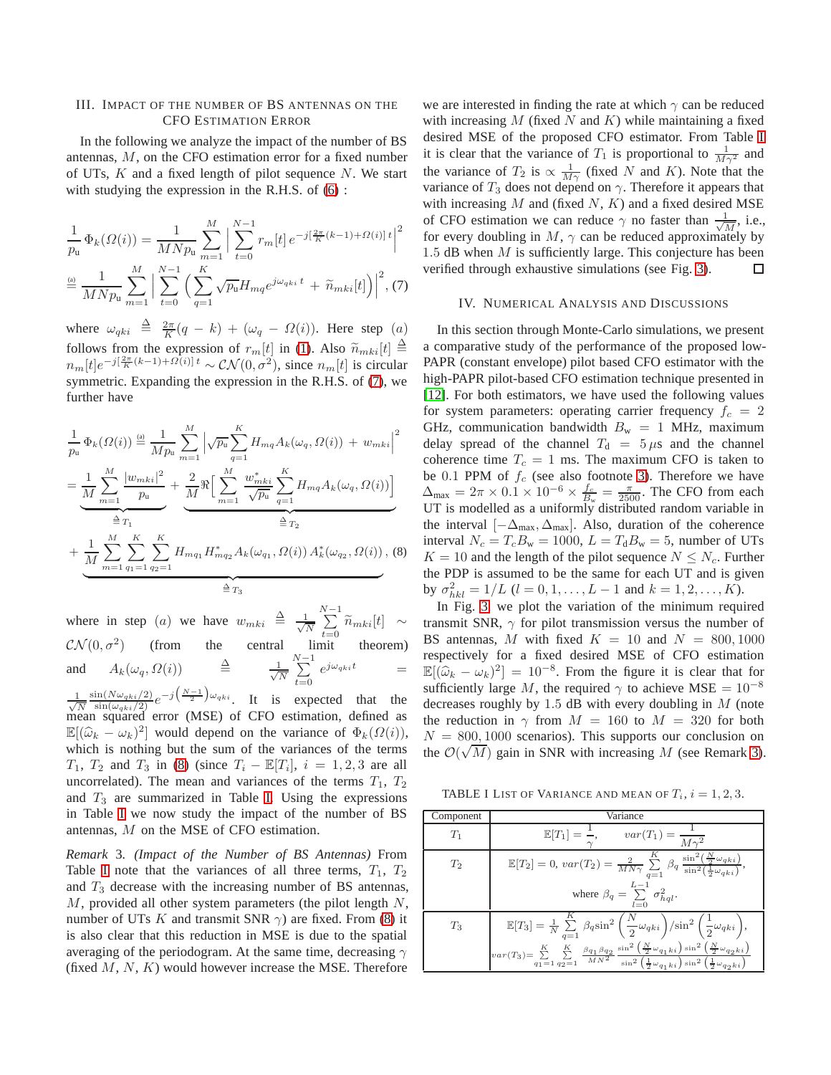## III. IMPACT OF THE NUMBER OF BS ANTENNAS ON THE CFO ESTIMATION ERROR

In the following we analyze the impact of the number of BS antennas, M, on the CFO estimation error for a fixed number of UTs,  $K$  and a fixed length of pilot sequence  $N$ . We start with studying the expression in the R.H.S. of  $(6)$ :

$$
\frac{1}{p_{\rm u}} \Phi_k(\Omega(i)) = \frac{1}{M N p_{\rm u}} \sum_{m=1}^M \Big| \sum_{t=0}^{N-1} r_m[t] e^{-j\left[\frac{2\pi}{K}(k-1) + \Omega(i)\right]t} \Big|^2
$$
  

$$
\stackrel{\text{(a)}}{=} \frac{1}{M N p_{\rm u}} \sum_{m=1}^M \Big| \sum_{t=0}^{N-1} \Big( \sum_{q=1}^K \sqrt{p_{\rm u}} H_{mq} e^{j\omega_{qki}t} + \widetilde{n}_{mki}[t] \Big) \Big|^2, \text{(7)}
$$

where  $\omega_{qki} \triangleq \frac{2\pi}{K}(q-k) + (\omega_q - \Omega(i))$ . Here step  $(a)$ follows from the expression of  $r_m[t]$  in [\(1\)](#page-1-2). Also  $\widetilde{n}_{mki}[t] \triangleq$  $n_m[t]e^{-j[\frac{2\pi}{K}(k-1)+\Omega(t)]t} \sim \mathcal{CN}(0,\sigma^2)$ , since  $n_m[t]$  is circular symmetric. Expanding the expression in the R.H.S. of [\(7\)](#page-3-0), we further have

$$
\frac{1}{p_u} \Phi_k(\Omega(i)) \stackrel{\text{(a)}}{=} \frac{1}{Mp_u} \sum_{m=1}^M \left| \sqrt{p_u} \sum_{q=1}^K H_{mq} A_k(\omega_q, \Omega(i)) + w_{mki} \right|^2
$$
\n
$$
= \underbrace{\frac{1}{M} \sum_{m=1}^M \frac{|w_{mki}|^2}{p_u} + \frac{2}{M} \Re \Big[ \sum_{m=1}^M \frac{w_{mki}^*}{\sqrt{p_u}} \sum_{q=1}^K H_{mq} A_k(\omega_q, \Omega(i)) \Big]}_{\triangleq T_1}
$$
\n
$$
+ \underbrace{\frac{1}{M} \sum_{m=1}^M \sum_{q_1=1}^K \sum_{q_2=1}^K H_{mq_1} H_{mq_2}^* A_k(\omega_{q_1}, \Omega(i)) A_k^*(\omega_{q_2}, \Omega(i))}_{\triangleq T_3}, \text{(8)}
$$

where in step (a) we have  $w_{mki} \triangleq \frac{1}{\sqrt{2}}$ N  $\sum_{i=1}^{N-1}$  $\sum_{t=0} \widetilde{n}_{mki}[t] \sim$  $\mathcal{CN}(0, \sigma^2)$  (from the central limit theorem) and  $A_k(\omega_q, \Omega(i))$   $\triangleq$   $\frac{1}{\sqrt{2}}$ N  $\sum_{i=1}^{N-1}$  $\sum_{t=0} e^{j\omega_{qki}t} =$ 

√ 1 N  $\frac{\sin(N\omega_{qki}/2)}{\sin(\omega_{qki}/2)}e^{-j(\frac{N-1}{2})\omega_{qki}}$ . It is expected that the mean squared error (MSE) of CFO estimation, defined as  $\mathbb{E}[(\hat{\omega}_k - \omega_k)^2]$  would depend on the variance of  $\Phi_k(\Omega(i))$ , which is nothing but the sum of the variances of the terms  $T_1, T_2$  and  $T_3$  in [\(8\)](#page-3-1) (since  $T_i - \mathbb{E}[T_i], i = 1, 2, 3$  are all uncorrelated). The mean and variances of the terms  $T_1$ ,  $T_2$ and  $T_3$  are summarized in Table [I.](#page-3-2) Using the expressions in Table [I](#page-3-2) we now study the impact of the number of BS antennas, M on the MSE of CFO estimation.

<span id="page-3-3"></span>*Remark* 3*. (Impact of the Number of BS Antennas)* From Table [I](#page-3-2) note that the variances of all three terms,  $T_1$ ,  $T_2$ and  $T_3$  decrease with the increasing number of BS antennas,  $M$ , provided all other system parameters (the pilot length  $N$ , number of UTs K and transmit SNR  $\gamma$ ) are fixed. From [\(8\)](#page-3-1) it is also clear that this reduction in MSE is due to the spatial averaging of the periodogram. At the same time, decreasing  $\gamma$ (fixed  $M, N, K$ ) would however increase the MSE. Therefore

we are interested in finding the rate at which  $\gamma$  can be reduced with increasing M (fixed N and K) while maintaining a fixed desired MSE of the proposed CFO estimator. From Table [I](#page-3-2) it is clear that the variance of  $T_1$  is proportional to  $\frac{1}{M\gamma^2}$  and the variance of  $T_2$  is  $\propto \frac{1}{M\gamma}$  (fixed N and K). Note that the variance of  $T_3$  does not depend on  $\gamma$ . Therefore it appears that with increasing  $M$  and (fixed  $N$ ,  $K$ ) and a fixed desired MSE of CFO estimation we can reduce  $\gamma$  no faster than  $\frac{1}{\sqrt{2}}$  $\frac{1}{M}$ , i.e., for every doubling in  $M$ ,  $\gamma$  can be reduced approximately by 1.5 dB when  $M$  is sufficiently large. This conjecture has been verified through exhaustive simulations (see Fig. [3\)](#page-4-11).  $\Box$ 

#### IV. NUMERICAL ANALYSIS AND DISCUSSIONS

<span id="page-3-0"></span>In this section through Monte-Carlo simulations, we present a comparative study of the performance of the proposed low-PAPR (constant envelope) pilot based CFO estimator with the high-PAPR pilot-based CFO estimation technique presented in [\[12\]](#page-4-8). For both estimators, we have used the following values for system parameters: operating carrier frequency  $f_c = 2$ GHz, communication bandwidth  $B_w = 1$  MHz, maximum delay spread of the channel  $T_d = 5 \mu s$  and the channel coherence time  $T_c = 1$  ms. The maximum CFO is taken to be 0.1 PPM of  $f_c$  (see also footnote [3\)](#page-2-0). Therefore we have  $\Delta_{\text{max}} = 2\pi \times 0.1 \times 10^{-6} \times \frac{f_c}{B_w} = \frac{\pi}{2500}$ . The CFO from each UT is modelled as a uniformly distributed random variable in the interval  $[-\Delta_{\text{max}}, \Delta_{\text{max}}]$ . Also, duration of the coherence interval  $N_c = T_c B_w = 1000$ ,  $L = T_d B_w = 5$ , number of UTs  $K = 10$  and the length of the pilot sequence  $N \leq N_c$ . Further the PDP is assumed to be the same for each UT and is given by  $\sigma_{hkl}^2 = 1/L$   $(l = 0, 1, \ldots, L-1$  and  $k = 1, 2, \ldots, K$ ).

<span id="page-3-1"></span>In Fig. [3,](#page-4-11) we plot the variation of the minimum required transmit SNR,  $\gamma$  for pilot transmission versus the number of BS antennas, M with fixed  $K = 10$  and  $N = 800, 1000$ respectively for a fixed desired MSE of CFO estimation  $\mathbb{E}[(\widehat{\omega}_k - \omega_k)^2] = 10^{-8}$ . From the figure it is clear that for sufficiently large M, the required  $\gamma$  to achieve MSE =  $10^{-8}$ decreases roughly by 1.5 dB with every doubling in  $M$  (note the reduction in  $\gamma$  from  $M = 160$  to  $M = 320$  for both  $N = 800, 1000$  scenarios). This supports our conclusion on the  $\mathcal{O}(\sqrt{M})$  gain in SNR with increasing M (see Remark [3\)](#page-3-3).

<span id="page-3-2"></span>TABLE I LIST OF VARIANCE AND MEAN OF  $T_i$ ,  $i = 1, 2, 3$ .

| Component | Variance                                                                                                                                                                                                                                                                                                                                                                          |
|-----------|-----------------------------------------------------------------------------------------------------------------------------------------------------------------------------------------------------------------------------------------------------------------------------------------------------------------------------------------------------------------------------------|
| $T_1$     | $\mathbb{E}[T_1] = \frac{1}{\gamma}, \qquad var(T_1) = \frac{1}{M\gamma^2}$                                                                                                                                                                                                                                                                                                       |
| $T_2$     | $\mathbb{E}[T_2] = 0, \, var(T_2) = \frac{2}{MN\gamma} \sum_{n=1}^{K} \beta_q \, \frac{\sin^2(\frac{N}{2}\omega_{qki})}{\sin^2(\frac{1}{2}\omega_{qki})}$                                                                                                                                                                                                                         |
|           | where $\beta_q = \sum \sigma_{hql}^2$ .                                                                                                                                                                                                                                                                                                                                           |
| $T_3$     | $\mathbb{E}[T_3] = \frac{1}{N} \sum_{q=1}^K \beta_q \sin^2\left(\frac{N}{2} \omega_{qki}\right) / \sin^2\left(\frac{1}{2} \omega_{qki}\right),$                                                                                                                                                                                                                                   |
|           | $var(T_3) {=} \sum\limits_{q_1 = 1}^K {\sum\limits_{q_2 = 1}^K {\frac{{{\beta _{q_1}{\beta _{q_2}}}}}{{M{N^2}}}} } \frac{{{\sin }^2}\left( {\frac{N}{2}{\omega _{q_1}}{_{ki}}} \right){\sin }^2}\left( {\frac{N}{2}{\omega _{q_2}}{_{ki}}} \right)}{{\sin }^2}\left( {\frac{1}{2}{\omega _{q_1}}{_{ki}}} \right){\sin }^2}\left( {\frac{1}{2}{\omega _{q_2}^{}\{_{ki}}} \right)}$ |